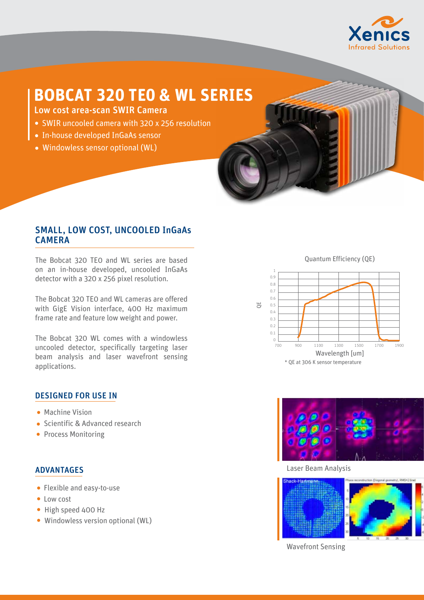

## **BOBCAT 320 TE0 & WL SERIES**

Low cost area-scan SWIR Camera

- SWIR uncooled camera with 320 x 256 resolution
- In-house developed InGaAs sensor
- Windowless sensor optional (WL)



The Bobcat 320 TE0 and WL series are based on an in-house developed, uncooled InGaAs detector with a 320 x 256 pixel resolution.

The Bobcat 320 TE0 and WL cameras are offered with GigE Vision interface, 400 Hz maximum frame rate and feature low weight and power.

The Bobcat 320 WL comes with a windowless uncooled detector, specifically targeting laser beam analysis and laser wavefront sensing applications.

## DESIGNED FOR USE IN

- **Machine Vision**
- Scientific & Advanced research
- Process Monitoring

## ADVANTAGES

- Flexible and easy-to-use
- Low cost
- High speed 400 Hz
- Windowless version optional (WL)

Quantum Efficiency (QE)





Laser Beam Analysis



Wavefront Sensing